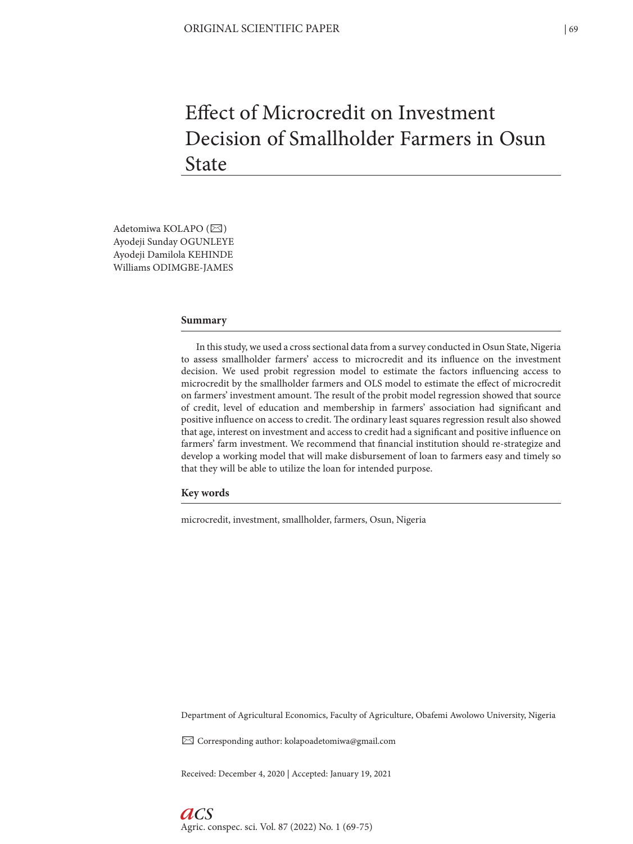# Effect of Microcredit on Investment Decision of Smallholder Farmers in Osun **State**

Adetomiwa KOLAPO (⊠) Ayodeji Sunday OGUNLEYE Ayodeji Damilola KEHINDE Williams ODIMGBE-JAMES

#### **Summary**

In this study, we used a cross sectional data from a survey conducted in Osun State, Nigeria to assess smallholder farmers' access to microcredit and its influence on the investment decision. We used probit regression model to estimate the factors influencing access to microcredit by the smallholder farmers and OLS model to estimate the effect of microcredit on farmers' investment amount. The result of the probit model regression showed that source of credit, level of education and membership in farmers' association had significant and positive influence on access to credit. The ordinary least squares regression result also showed that age, interest on investment and access to credit had a significant and positive influence on farmers' farm investment. We recommend that financial institution should re-strategize and develop a working model that will make disbursement of loan to farmers easy and timely so that they will be able to utilize the loan for intended purpose.

**Key words**

microcredit, investment, smallholder, farmers, Osun, Nigeria

Department of Agricultural Economics, Faculty of Agriculture, Obafemi Awolowo University, Nigeria

✉ Corresponding author: kolapoadetomiwa@gmail.com

Received: December 4, 2020 | Accepted: January 19, 2021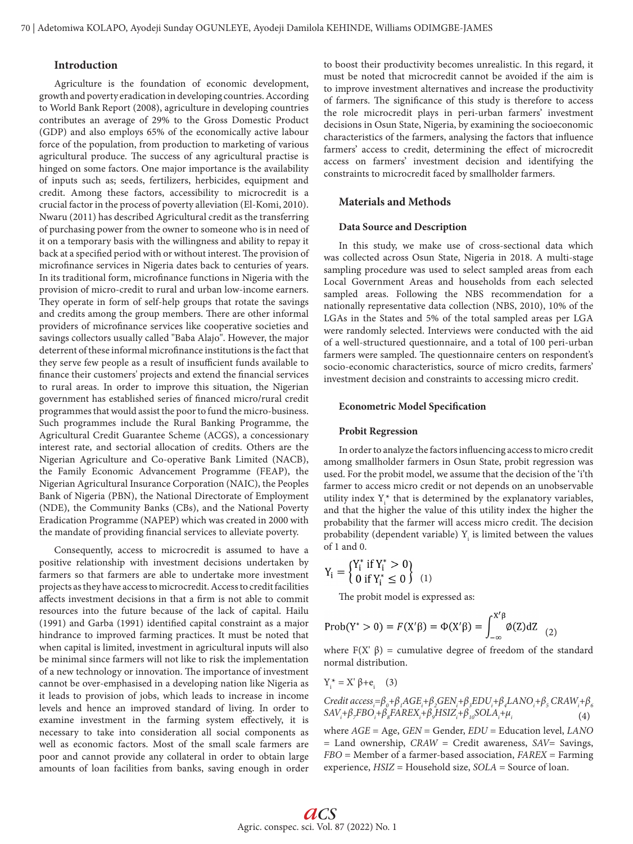## **Introduction**

Agriculture is the foundation of economic development, growth and poverty eradication in developing countries. According to World Bank Report (2008), agriculture in developing countries contributes an average of 29% to the Gross Domestic Product (GDP) and also employs 65% of the economically active labour force of the population, from production to marketing of various agricultural produce. The success of any agricultural practise is hinged on some factors. One major importance is the availability of inputs such as; seeds, fertilizers, herbicides, equipment and credit. Among these factors, accessibility to microcredit is a crucial factor in the process of poverty alleviation (El-Komi, 2010). Nwaru (2011) has described Agricultural credit as the transferring of purchasing power from the owner to someone who is in need of it on a temporary basis with the willingness and ability to repay it back at a specified period with or without interest. The provision of microfinance services in Nigeria dates back to centuries of years. In its traditional form, microfinance functions in Nigeria with the provision of micro-credit to rural and urban low-income earners. They operate in form of self-help groups that rotate the savings and credits among the group members. There are other informal providers of microfinance services like cooperative societies and savings collectors usually called "Baba Alajo". However, the major deterrent of these informal microfinance institutions is the fact that they serve few people as a result of insufficient funds available to finance their customers' projects and extend the financial services to rural areas. In order to improve this situation, the Nigerian government has established series of financed micro/rural credit programmes that would assist the poor to fund the micro-business. Such programmes include the Rural Banking Programme, the Agricultural Credit Guarantee Scheme (ACGS), a concessionary interest rate, and sectorial allocation of credits. Others are the Nigerian Agriculture and Co-operative Bank Limited (NACB), the Family Economic Advancement Programme (FEAP), the Nigerian Agricultural Insurance Corporation (NAIC), the Peoples Bank of Nigeria (PBN), the National Directorate of Employment (NDE), the Community Banks (CBs), and the National Poverty Eradication Programme (NAPEP) which was created in 2000 with the mandate of providing financial services to alleviate poverty.

Consequently, access to microcredit is assumed to have a positive relationship with investment decisions undertaken by farmers so that farmers are able to undertake more investment projects as they have access to microcredit. Access to credit facilities affects investment decisions in that a firm is not able to commit resources into the future because of the lack of capital. Hailu (1991) and Garba (1991) identified capital constraint as a major hindrance to improved farming practices. It must be noted that when capital is limited, investment in agricultural inputs will also be minimal since farmers will not like to risk the implementation of a new technology or innovation. The importance of investment cannot be over-emphasised in a developing nation like Nigeria as it leads to provision of jobs, which leads to increase in income levels and hence an improved standard of living. In order to examine investment in the farming system effectively, it is necessary to take into consideration all social components as well as economic factors. Most of the small scale farmers are poor and cannot provide any collateral in order to obtain large amounts of loan facilities from banks, saving enough in order

to boost their productivity becomes unrealistic. In this regard, it must be noted that microcredit cannot be avoided if the aim is to improve investment alternatives and increase the productivity of farmers. The significance of this study is therefore to access the role microcredit plays in peri-urban farmers' investment decisions in Osun State, Nigeria, by examining the socioeconomic characteristics of the farmers, analysing the factors that influence farmers' access to credit, determining the effect of microcredit access on farmers' investment decision and identifying the constraints to microcredit faced by smallholder farmers.

### **Materials and Methods**

#### **Data Source and Description**

In this study, we make use of cross-sectional data which was collected across Osun State, Nigeria in 2018. A multi-stage sampling procedure was used to select sampled areas from each Local Government Areas and households from each selected sampled areas. Following the NBS recommendation for a nationally representative data collection (NBS, 2010), 10% of the LGAs in the States and 5% of the total sampled areas per LGA were randomly selected. Interviews were conducted with the aid of a well-structured questionnaire, and a total of 100 peri-urban farmers were sampled. The questionnaire centers on respondent's socio-economic characteristics, source of micro credits, farmers' investment decision and constraints to accessing micro credit.

## **Econometric Model Specification**

#### **Probit Regression**

In order to analyze the factors influencing access to micro credit among smallholder farmers in Osun State, probit regression was used. For the probit model, we assume that the decision of the 'i'th farmer to access micro credit or not depends on an unobservable utility index  $Y_i^*$  that is determined by the explanatory variables, and that the higher the value of this utility index the higher the probability that the farmer will access micro credit. The decision probability (dependent variable)  $Y_i$  is limited between the values of 1 and 0.

$$
Y_i = \begin{cases} Y_i^* & \text{if } Y_i^* > 0 \\ 0 & \text{if } Y_i^* \le 0 \end{cases} \tag{1}
$$

The probit model is expressed as:

$$
\text{Prob}(Y^* > 0) = F(X'\beta) = \Phi(X'\beta) = \int_{-\infty}^{X'\beta} \phi(Z) dZ \tag{2}
$$

where  $F(X' \beta)$  = cumulative degree of freedom of the standard normal distribution.

$$
Y_i^* = X' \beta + e_i \quad (3)
$$

 $C$ redit access<sub>i</sub>= $\beta_o + \beta_1 AGE_i + \beta_2 GEN_i + \beta_3 EDU_i + \beta_4 LANO_i + \beta_5 CRAW_i + \beta_6$  $SAV_i + \beta_z FBO_i + \beta_s FAREX_i + \beta_s HSIZ_i + \beta_{10} SOLA_i + \mu_i$ (4)

where *AGE* = Age, *GEN* = Gender, *EDU* = Education level, *LANO*  = Land ownership, *CRAW* = Credit awareness, *SAV*= Savings, *FBO* = Member of a farmer-based association, *FAREX* = Farming experience, *HSIZ* = Household size, *SOLA* = Source of loan.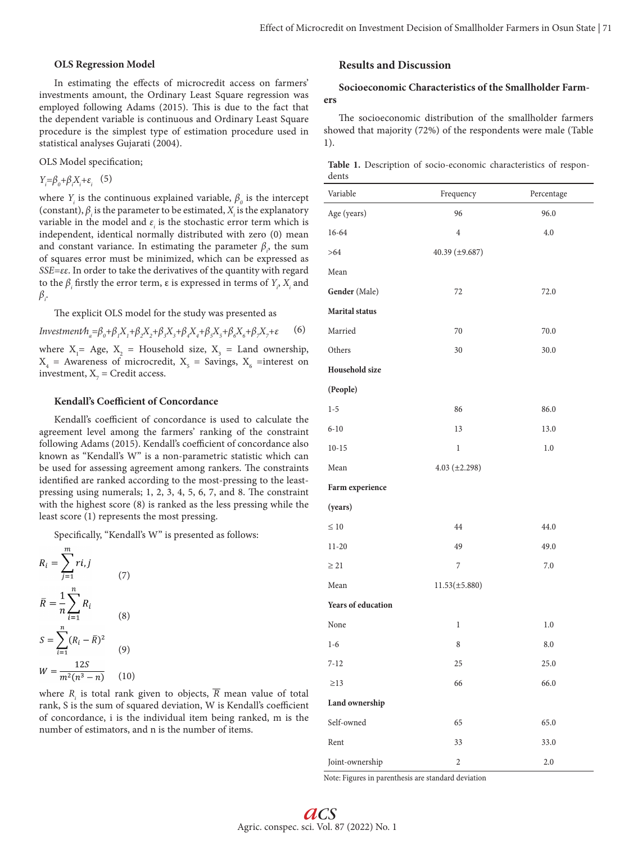## **OLS Regression Model**

In estimating the effects of microcredit access on farmers' investments amount, the Ordinary Least Square regression was employed following Adams (2015). This is due to the fact that the dependent variable is continuous and Ordinary Least Square procedure is the simplest type of estimation procedure used in statistical analyses Gujarati (2004).

OLS Model specification;

*Y*<sub>*i*</sub>= $\beta_0 + \beta_i X_i + \varepsilon_i$  (5)

where  $Y_i$  is the continuous explained variable,  $\beta_o$  is the intercept (constant),  $\beta_i$  is the parameter to be estimated,  $X_i$  is the explanatory variable in the model and  $\varepsilon$ <sub>*i*</sub> is the stochastic error term which is independent, identical normally distributed with zero (0) mean and constant variance. In estimating the parameter  $\beta$ <sub>i</sub>, the sum of squares error must be minimized, which can be expressed as *SSE=εε*. In order to take the derivatives of the quantity with regard to the  $β<sub>i</sub>$  firstly the error term, ε is expressed in terms of  $Y<sub>i</sub>$ ,  $X<sub>i</sub>$  and *βi* .

The explicit OLS model for the study was presented as

*Investment*
$$
h_a = \beta_0 + \beta_1 X_1 + \beta_2 X_2 + \beta_3 X_3 + \beta_4 X_4 + \beta_5 X_5 + \beta_6 X_6 + \beta_7 X_7 + \varepsilon
$$
 (6)  
where X<sub>1</sub> = Age, X<sub>2</sub> = Household size, X<sub>3</sub> = Land ownership,  
X<sub>4</sub> = Awards of microcredit, X<sub>5</sub> = Savings, X<sub>6</sub> =interest on  
investment, X<sub>7</sub> = Credit access.

#### **Kendall's Coefficient of Concordance**

Kendall's coefficient of concordance is used to calculate the agreement level among the farmers' ranking of the constraint following Adams (2015). Kendall's coefficient of concordance also known as "Kendall's W" is a non-parametric statistic which can be used for assessing agreement among rankers. The constraints identified are ranked according to the most-pressing to the leastpressing using numerals; 1, 2, 3, 4, 5, 6, 7, and 8. The constraint with the highest score (8) is ranked as the less pressing while the least score (1) represents the most pressing.

Specifically, "Kendall's W" is presented as follows:

$$
R_{i} = \sum_{j=1}^{m} r i, j
$$
\n
$$
\bar{R} = \frac{1}{n} \sum_{i=1}^{n} R_{i}
$$
\n
$$
S = \sum_{i=1}^{n} (R_{i} - \bar{R})^{2}
$$
\n
$$
W = \frac{12S}{m^{2}(n^{3} - n)}
$$
\n(10)

where *Ri* is total rank given to objects, *R* mean value of total rank, S is the sum of squared deviation, W is Kendall's coefficient of concordance, i is the individual item being ranked, m is the number of estimators, and n is the number of items.

# **Results and Discussion**

## **Socioeconomic Characteristics of the Smallholder Farmers**

The socioeconomic distribution of the smallholder farmers showed that majority (72%) of the respondents were male (Table 1).

**Table 1.** Description of socio-economic characteristics of respondents

| Variable                  | Frequency          | Percentage |
|---------------------------|--------------------|------------|
| Age (years)               | 96                 | 96.0       |
| 16-64                     | $\overline{4}$     | 4.0        |
| >64                       | 40.39 (±9.687)     |            |
| Mean                      |                    |            |
| Gender (Male)             | 72                 | 72.0       |
| <b>Marital</b> status     |                    |            |
| Married                   | $70\,$             | 70.0       |
| Others                    | 30                 | 30.0       |
| Household size            |                    |            |
| (People)                  |                    |            |
| $1 - 5$                   | 86                 | 86.0       |
| $6 - 10$                  | 13                 | 13.0       |
| $10 - 15$                 | $\,1$              | 1.0        |
| Mean                      | $4.03 (\pm 2.298)$ |            |
| Farm experience           |                    |            |
| (years)                   |                    |            |
| $\leq 10$                 | 44                 | 44.0       |
| $11 - 20$                 | 49                 | 49.0       |
| $\geq$ 21                 | $\overline{7}$     | 7.0        |
| Mean                      | $11.53(\pm 5.880)$ |            |
| <b>Years of education</b> |                    |            |
| None                      | $\mathbf{1}$       | $1.0\,$    |
| $1-6$                     | 8                  | 8.0        |
| $7 - 12$                  | 25                 | $25.0\,$   |
| $\geq$ 13                 | 66                 | 66.0       |
| Land ownership            |                    |            |
| Self-owned                | 65                 | 65.0       |
| Rent                      | 33                 | 33.0       |
| Joint-ownership           | $\sqrt{2}$         | $2.0\,$    |

Note: Figures in parenthesis are standard deviation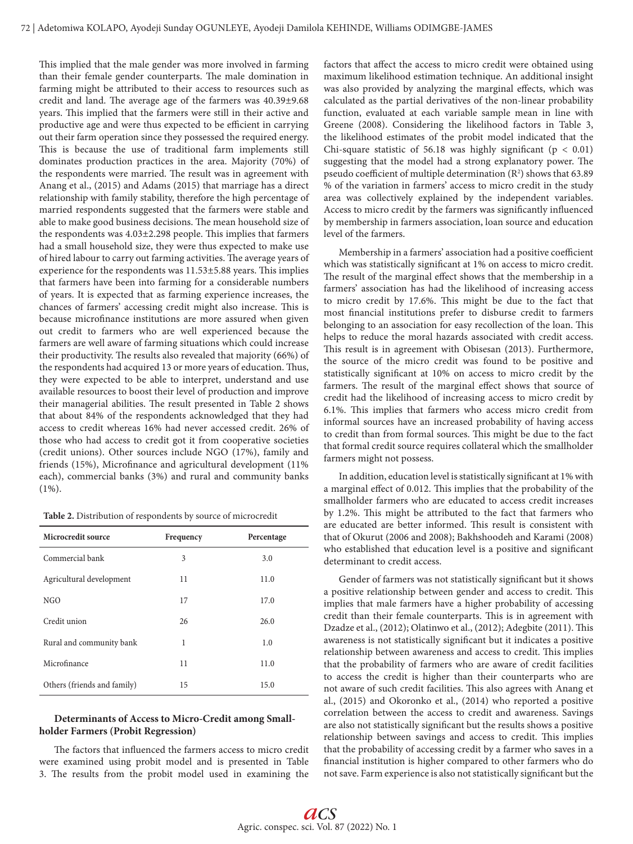This implied that the male gender was more involved in farming than their female gender counterparts. The male domination in farming might be attributed to their access to resources such as credit and land. The average age of the farmers was 40.39±9.68 years. This implied that the farmers were still in their active and productive age and were thus expected to be efficient in carrying out their farm operation since they possessed the required energy. This is because the use of traditional farm implements still dominates production practices in the area. Majority (70%) of the respondents were married. The result was in agreement with Anang et al., (2015) and Adams (2015) that marriage has a direct relationship with family stability, therefore the high percentage of married respondents suggested that the farmers were stable and able to make good business decisions. The mean household size of the respondents was 4.03±2.298 people. This implies that farmers had a small household size, they were thus expected to make use of hired labour to carry out farming activities. The average years of experience for the respondents was 11.53±5.88 years. This implies that farmers have been into farming for a considerable numbers of years. It is expected that as farming experience increases, the chances of farmers' accessing credit might also increase. This is because microfinance institutions are more assured when given out credit to farmers who are well experienced because the farmers are well aware of farming situations which could increase their productivity. The results also revealed that majority (66%) of the respondents had acquired 13 or more years of education. Thus, they were expected to be able to interpret, understand and use available resources to boost their level of production and improve their managerial abilities. The result presented in Table 2 shows that about 84% of the respondents acknowledged that they had access to credit whereas 16% had never accessed credit. 26% of those who had access to credit got it from cooperative societies (credit unions). Other sources include NGO (17%), family and friends (15%), Microfinance and agricultural development (11% each), commercial banks (3%) and rural and community banks (1%).

**Table 2.** Distribution of respondents by source of microcredit

| Microcredit source          | Frequency | Percentage |
|-----------------------------|-----------|------------|
| Commercial bank             | 3         | 3.0        |
| Agricultural development    | 11        | 11.0       |
| NGO                         | 17        | 17.0       |
| Credit union                | 26        | 26.0       |
| Rural and community bank    | 1         | 1.0        |
| Microfinance                | 11        | 11.0       |
| Others (friends and family) | 15        | 15.0       |

## **Determinants of Access to Micro-Credit among Smallholder Farmers (Probit Regression)**

The factors that influenced the farmers access to micro credit were examined using probit model and is presented in Table 3. The results from the probit model used in examining the

factors that affect the access to micro credit were obtained using maximum likelihood estimation technique. An additional insight was also provided by analyzing the marginal effects, which was calculated as the partial derivatives of the non-linear probability function, evaluated at each variable sample mean in line with Greene (2008). Considering the likelihood factors in Table 3, the likelihood estimates of the probit model indicated that the Chi-square statistic of 56.18 was highly significant ( $p < 0.01$ ) suggesting that the model had a strong explanatory power. The pseudo coefficient of multiple determination  $(R^2)$  shows that 63.89 % of the variation in farmers' access to micro credit in the study area was collectively explained by the independent variables. Access to micro credit by the farmers was significantly influenced by membership in farmers association, loan source and education level of the farmers.

Membership in a farmers' association had a positive coefficient which was statistically significant at 1% on access to micro credit. The result of the marginal effect shows that the membership in a farmers' association has had the likelihood of increasing access to micro credit by 17.6%. This might be due to the fact that most financial institutions prefer to disburse credit to farmers belonging to an association for easy recollection of the loan. This helps to reduce the moral hazards associated with credit access. This result is in agreement with Obisesan (2013). Furthermore, the source of the micro credit was found to be positive and statistically significant at 10% on access to micro credit by the farmers. The result of the marginal effect shows that source of credit had the likelihood of increasing access to micro credit by 6.1%. This implies that farmers who access micro credit from informal sources have an increased probability of having access to credit than from formal sources. This might be due to the fact that formal credit source requires collateral which the smallholder farmers might not possess.

In addition, education level is statistically significant at 1% with a marginal effect of 0.012. This implies that the probability of the smallholder farmers who are educated to access credit increases by 1.2%. This might be attributed to the fact that farmers who are educated are better informed. This result is consistent with that of Okurut (2006 and 2008); Bakhshoodeh and Karami (2008) who established that education level is a positive and significant determinant to credit access.

Gender of farmers was not statistically significant but it shows a positive relationship between gender and access to credit. This implies that male farmers have a higher probability of accessing credit than their female counterparts. This is in agreement with Dzadze et al., (2012); Olatinwo et al., (2012); Adegbite (2011). This awareness is not statistically significant but it indicates a positive relationship between awareness and access to credit. This implies that the probability of farmers who are aware of credit facilities to access the credit is higher than their counterparts who are not aware of such credit facilities. This also agrees with Anang et al., (2015) and Okoronko et al., (2014) who reported a positive correlation between the access to credit and awareness. Savings are also not statistically significant but the results shows a positive relationship between savings and access to credit. This implies that the probability of accessing credit by a farmer who saves in a financial institution is higher compared to other farmers who do not save. Farm experience is also not statistically significant but the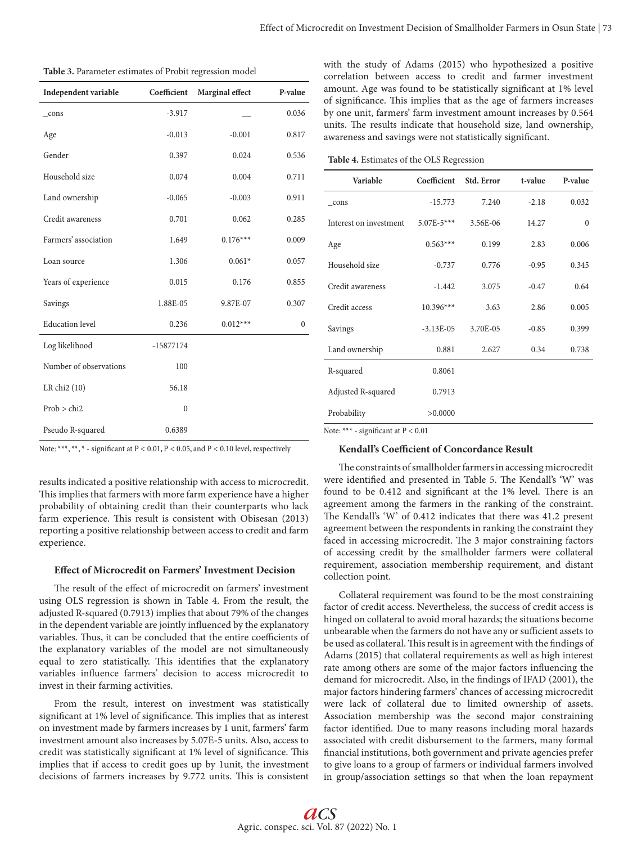| Table 3. Parameter estimates of Probit regression model |  |
|---------------------------------------------------------|--|
|---------------------------------------------------------|--|

| Independent variable   | Coefficient  | Marginal effect | P-value      |
|------------------------|--------------|-----------------|--------------|
| $_{cons}$              | $-3.917$     |                 | 0.036        |
| Age                    | $-0.013$     | $-0.001$        | 0.817        |
| Gender                 | 0.397        | 0.024           | 0.536        |
| Household size         | 0.074        | 0.004           | 0.711        |
| Land ownership         | $-0.065$     | $-0.003$        | 0.911        |
| Credit awareness       | 0.701        | 0.062           | 0.285        |
| Farmers' association   | 1.649        | $0.176***$      | 0.009        |
| Loan source            | 1.306        | $0.061*$        | 0.057        |
| Years of experience    | 0.015        | 0.176           | 0.855        |
| Savings                | 1.88E-05     | 9.87E-07        | 0.307        |
| <b>Education</b> level | 0.236        | $0.012***$      | $\mathbf{0}$ |
| Log likelihood         | $-15877174$  |                 |              |
| Number of observations | 100          |                 |              |
| LR chi2 (10)           | 56.18        |                 |              |
| Prob > chi2            | $\mathbf{0}$ |                 |              |
| Pseudo R-squared       | 0.6389       |                 |              |

Note: \*\*\*, \*\*, \* - significant at P < 0.01, P < 0.05, and P < 0.10 level, respectively

results indicated a positive relationship with access to microcredit. This implies that farmers with more farm experience have a higher probability of obtaining credit than their counterparts who lack farm experience. This result is consistent with Obisesan (2013) reporting a positive relationship between access to credit and farm experience.

#### **Effect of Microcredit on Farmers' Investment Decision**

The result of the effect of microcredit on farmers' investment using OLS regression is shown in Table 4. From the result, the adjusted R-squared (0.7913) implies that about 79% of the changes in the dependent variable are jointly influenced by the explanatory variables. Thus, it can be concluded that the entire coefficients of the explanatory variables of the model are not simultaneously equal to zero statistically. This identifies that the explanatory variables influence farmers' decision to access microcredit to invest in their farming activities.

From the result, interest on investment was statistically significant at 1% level of significance. This implies that as interest on investment made by farmers increases by 1 unit, farmers' farm investment amount also increases by 5.07E-5 units. Also, access to credit was statistically significant at 1% level of significance. This implies that if access to credit goes up by 1unit, the investment decisions of farmers increases by 9.772 units. This is consistent with the study of Adams (2015) who hypothesized a positive correlation between access to credit and farmer investment amount. Age was found to be statistically significant at 1% level of significance. This implies that as the age of farmers increases by one unit, farmers' farm investment amount increases by 0.564 units. The results indicate that household size, land ownership, awareness and savings were not statistically significant.

**Table 4.** Estimates of the OLS Regression

| Variable               | Coefficient    | Std. Error | t-value | P-value          |
|------------------------|----------------|------------|---------|------------------|
| cons                   | $-15.773$      | 7.240      | $-2.18$ | 0.032            |
| Interest on investment | $5.07E - 5***$ | 3.56E-06   | 14.27   | $\boldsymbol{0}$ |
| Age                    | $0.563***$     | 0.199      | 2.83    | 0.006            |
| Household size         | $-0.737$       | 0.776      | $-0.95$ | 0.345            |
| Credit awareness       | $-1.442$       | 3.075      | $-0.47$ | 0.64             |
| Credit access          | $10.396***$    | 3.63       | 2.86    | 0.005            |
| Savings                | $-3.13E-05$    | 3.70E-05   | $-0.85$ | 0.399            |
| Land ownership         | 0.881          | 2.627      | 0.34    | 0.738            |
| R-squared              | 0.8061         |            |         |                  |
| Adjusted R-squared     | 0.7913         |            |         |                  |
| Probability            | >0.0000        |            |         |                  |

Note: \*\*\* - significant at P < 0.01

#### **Kendall's Coefficient of Concordance Result**

The constraints of smallholder farmers in accessing microcredit were identified and presented in Table 5. The Kendall's 'W' was found to be 0.412 and significant at the 1% level. There is an agreement among the farmers in the ranking of the constraint. The Kendall's 'W' of 0.412 indicates that there was 41.2 present agreement between the respondents in ranking the constraint they faced in accessing microcredit. The 3 major constraining factors of accessing credit by the smallholder farmers were collateral requirement, association membership requirement, and distant collection point.

Collateral requirement was found to be the most constraining factor of credit access. Nevertheless, the success of credit access is hinged on collateral to avoid moral hazards; the situations become unbearable when the farmers do not have any or sufficient assets to be used as collateral. This result is in agreement with the findings of Adams (2015) that collateral requirements as well as high interest rate among others are some of the major factors influencing the demand for microcredit. Also, in the findings of IFAD (2001), the major factors hindering farmers' chances of accessing microcredit were lack of collateral due to limited ownership of assets. Association membership was the second major constraining factor identified. Due to many reasons including moral hazards associated with credit disbursement to the farmers, many formal financial institutions, both government and private agencies prefer to give loans to a group of farmers or individual farmers involved in group/association settings so that when the loan repayment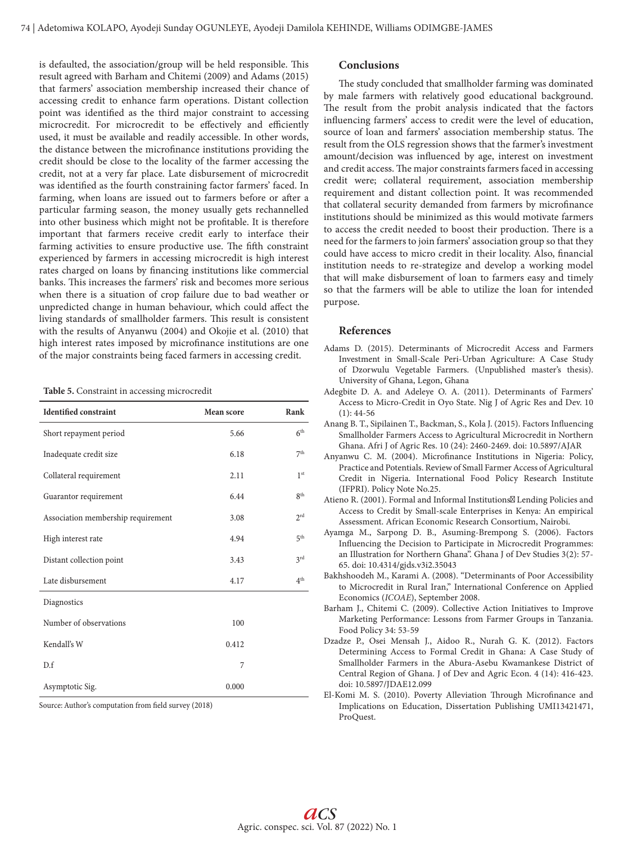is defaulted, the association/group will be held responsible. This result agreed with Barham and Chitemi (2009) and Adams (2015) that farmers' association membership increased their chance of accessing credit to enhance farm operations. Distant collection point was identified as the third major constraint to accessing microcredit. For microcredit to be effectively and efficiently used, it must be available and readily accessible. In other words, the distance between the microfinance institutions providing the credit should be close to the locality of the farmer accessing the credit, not at a very far place. Late disbursement of microcredit was identified as the fourth constraining factor farmers' faced. In farming, when loans are issued out to farmers before or after a particular farming season, the money usually gets rechannelled into other business which might not be profitable. It is therefore important that farmers receive credit early to interface their farming activities to ensure productive use. The fifth constraint experienced by farmers in accessing microcredit is high interest rates charged on loans by financing institutions like commercial banks. This increases the farmers' risk and becomes more serious when there is a situation of crop failure due to bad weather or unpredicted change in human behaviour, which could affect the living standards of smallholder farmers. This result is consistent with the results of Anyanwu (2004) and Okojie et al. (2010) that high interest rates imposed by microfinance institutions are one of the major constraints being faced farmers in accessing credit.

**Table 5.** Constraint in accessing microcredit

| <b>Identified constraint</b>       | Mean score | Rank            |
|------------------------------------|------------|-----------------|
| Short repayment period             | 5.66       | 6 <sup>th</sup> |
| Inadequate credit size             | 6.18       | 7 <sup>th</sup> |
| Collateral requirement             | 2.11       | 1 <sup>st</sup> |
| Guarantor requirement              | 6.44       | 8 <sup>th</sup> |
| Association membership requirement | 3.08       | $2^{\text{rd}}$ |
| High interest rate                 | 4.94       | 5 <sup>th</sup> |
| Distant collection point           | 3.43       | 3 <sup>rd</sup> |
| Late disbursement                  | 4.17       | 4 <sup>th</sup> |
| Diagnostics                        |            |                 |
| Number of observations             | 100        |                 |
| Kendall's W                        | 0.412      |                 |
| D.f                                | 7          |                 |
| Asymptotic Sig.                    | 0.000      |                 |

Source: Author's computation from field survey (2018)

## **Conclusions**

The study concluded that smallholder farming was dominated by male farmers with relatively good educational background. The result from the probit analysis indicated that the factors influencing farmers' access to credit were the level of education, source of loan and farmers' association membership status. The result from the OLS regression shows that the farmer's investment amount/decision was influenced by age, interest on investment and credit access. The major constraints farmers faced in accessing credit were; collateral requirement, association membership requirement and distant collection point. It was recommended that collateral security demanded from farmers by microfinance institutions should be minimized as this would motivate farmers to access the credit needed to boost their production. There is a need for the farmers to join farmers' association group so that they could have access to micro credit in their locality. Also, financial institution needs to re-strategize and develop a working model that will make disbursement of loan to farmers easy and timely so that the farmers will be able to utilize the loan for intended purpose.

## **References**

- Adams D. (2015). Determinants of Microcredit Access and Farmers Investment in Small-Scale Peri-Urban Agriculture: A Case Study of Dzorwulu Vegetable Farmers. (Unpublished master's thesis). University of Ghana, Legon, Ghana
- Adegbite D. A. and Adeleye O. A. (2011). Determinants of Farmers' Access to Micro-Credit in Oyo State. Nig J of Agric Res and Dev. 10  $(1): 44-56$
- Anang B. T., Sipilainen T., Backman, S., Kola J. (2015). Factors Influencing Smallholder Farmers Access to Agricultural Microcredit in Northern Ghana. Afri J of Agric Res. 10 (24): 2460-2469. doi: 10.5897/AJAR
- Anyanwu C. M. (2004). Microfinance Institutions in Nigeria: Policy, Practice and Potentials. Review of Small Farmer Access of Agricultural Credit in Nigeria. International Food Policy Research Institute (IFPRI). Policy Note No.25.
- Atieno R. (2001). Formal and Informal Institutions" Lending Policies and Access to Credit by Small-scale Enterprises in Kenya: An empirical Assessment. African Economic Research Consortium, Nairobi.
- Ayamga M., Sarpong D. B., Asuming-Brempong S. (2006). Factors Influencing the Decision to Participate in Microcredit Programmes: an Illustration for Northern Ghana". Ghana J of Dev Studies 3(2): 57- 65. doi: 10.4314/gjds.v3i2.35043
- Bakhshoodeh M., Karami A. (2008). "Determinants of Poor Accessibility to Microcredit in Rural Iran," International Conference on Applied Economics (*ICOAE*), September 2008.
- Barham J., Chitemi C. (2009). Collective Action Initiatives to Improve Marketing Performance: Lessons from Farmer Groups in Tanzania. Food Policy 34: 53-59
- Dzadze P., Osei Mensah J., Aidoo R., Nurah G. K. (2012). Factors Determining Access to Formal Credit in Ghana: A Case Study of Smallholder Farmers in the Abura-Asebu Kwamankese District of Central Region of Ghana. J of Dev and Agric Econ. 4 (14): 416-423. doi: 10.5897/JDAE12.099
- El-Komi M. S. (2010). Poverty Alleviation Through Microfinance and Implications on Education, Dissertation Publishing UMI13421471, ProQuest.